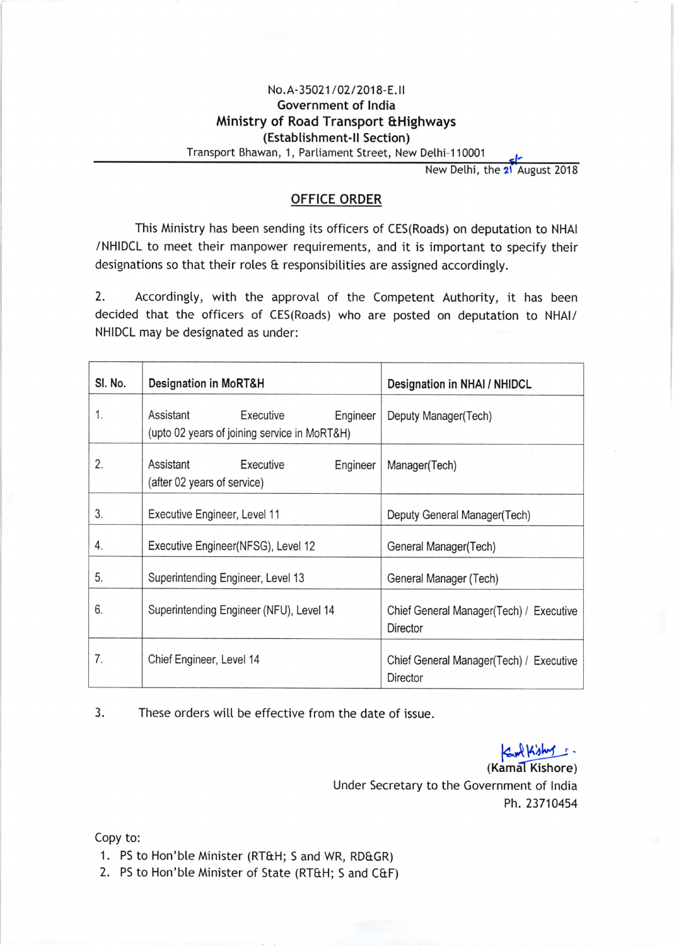## No.A-35021/02/2018-E.II Government of lndia Ministry of Road Transport &Highways (Establishment-ll Section)

Transport Bhawan, 1, Partiament Street, New Dethi-110001

New Delhi, the 21 August 2018

## OFFICE ORDER

This Ministry has been sending its officers of CES(Roads) on deputation to NHAI /NHIDCL to meet their manpower requirements, and it is important to specify their designations so that their roles & responsibilities are assigned accordingly.

2. Accordingly, with the approval of the Competent Authority, it has been decided that the officers of CES(Roads) who are posted on deputation to NHAI/ NHIDCL may be designated as under:

| SI. No. | <b>Designation in MoRT&amp;H</b>                                                   | Designation in NHAI / NHIDCL                               |
|---------|------------------------------------------------------------------------------------|------------------------------------------------------------|
| 1.      | Assistant<br>Executive<br>Engineer<br>(upto 02 years of joining service in MoRT&H) | Deputy Manager(Tech)                                       |
| 2.      | Executive<br>Assistant<br>Engineer<br>(after 02 years of service)                  | Manager(Tech)                                              |
| 3.      | Executive Engineer, Level 11                                                       | Deputy General Manager(Tech)                               |
| 4.      | Executive Engineer(NFSG), Level 12                                                 | General Manager(Tech)                                      |
| 5.      | Superintending Engineer, Level 13                                                  | General Manager (Tech)                                     |
| 6.      | Superintending Engineer (NFU), Level 14                                            | Chief General Manager(Tech) / Executive<br><b>Director</b> |
| 7.      | Chief Engineer, Level 14                                                           | Chief General Manager(Tech) / Executive<br>Director        |

3. These orders witl be effective from the date of issue.

Eur Kishy. (Kamal Kishore) Under Secretary to the Government of lndia Ph.23710454

Copy to:

- 1. PS to Hon'ble Minister (RT&H; S and WR, RD&GR)
- 2. PS to Hon'ble Minister of State (RT&H; S and C&F)